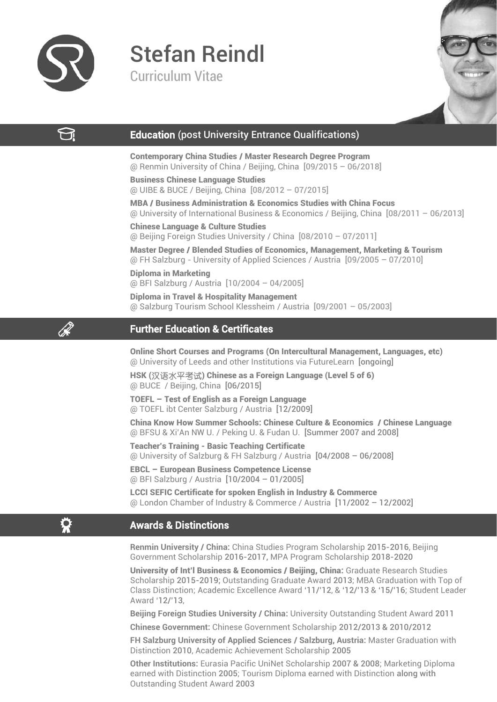

# Stefan Reindl

Curriculum Vitae



# ₩

Q.

♦

# Education (post University Entrance Qualifications)

Contemporary China Studies / Master Research Degree Program @ Renmin University of China / Beijing, China [09/2015 – 06/2018]

Business Chinese Language Studies @ UIBE & BUCE / Beijing, China [08/2012 – 07/2015]

MBA / Business Administration & Economics Studies with China Focus @ University of International Business & Economics / Beijing, China [08/2011 – 06/2013]

Chinese Language & Culture Studies @ Beijing Foreign Studies University / China [08/2010 – 07/2011]

Master Degree / Blended Studies of Economics, Management, Marketing & Tourism @ FH Salzburg - University of Applied Sciences / Austria [09/2005 – 07/2010] Diploma in Marketing

@ BFI Salzburg / Austria [10/2004 – 04/2005]

Diploma in Travel & Hospitality Management @ Salzburg Tourism School Klessheim / Austria [09/2001 – 05/2003]

# Further Education & Certificates

Online Short Courses and Programs (On Intercultural Management, Languages, etc) @ University of Leeds and other Institutions via FutureLearn [ongoing]

HSK (汉语水平考试) Chinese as a Foreign Language (Level 5 of 6) @ BUCE / Beijing, China [06/2015]

TOEFL – Test of English as a Foreign Language @ TOEFL ibt Center Salzburg / Austria [12/2009]

China Know How Summer Schools: Chinese Culture & Economics / Chinese Language @ BFSU & Xi'An NW U. / Peking U. & Fudan U. [Summer 2007 and 2008]

Teacher's Training - Basic Teaching Certificate @ University of Salzburg & FH Salzburg / Austria [04/2008 – 06/2008]

EBCL – European Business Competence License @ BFI Salzburg / Austria [10/2004 – 01/2005]

LCCI SEFIC Certificate for spoken English in Industry & Commerce @ London Chamber of Industry & Commerce / Austria [11/2002 – 12/2002]

# Awards & Distinctions

**Renmin University / China:** China Studies Program Scholarship 2015-2016, Beijing Government Scholarship 2016-2017, MPA Program Scholarship 2018-2020

University of Int'l Business & Economics / Beijing, China: Graduate Research Studies Scholarship 2015-2019; Outstanding Graduate Award 2013; MBA Graduation with Top of Class Distinction; Academic Excellence Award '11/'12, & '12/'13 & '15/'16; Student Leader Award '12/'13,

**Beijing Foreign Studies University / China:** University Outstanding Student Award 2011

**Chinese Government:** Chinese Government Scholarship 2012/2013 & 2010/2012

**FH Salzburg University of Applied Sciences / Salzburg, Austria:** Master Graduation with Distinction 2010, Academic Achievement Scholarship 2005

**Other Institutions:** Eurasia Pacific UniNet Scholarship 2007 & 2008; Marketing Diploma earned with Distinction 2005; Tourism Diploma earned with Distinction along with Outstanding Student Award 2003